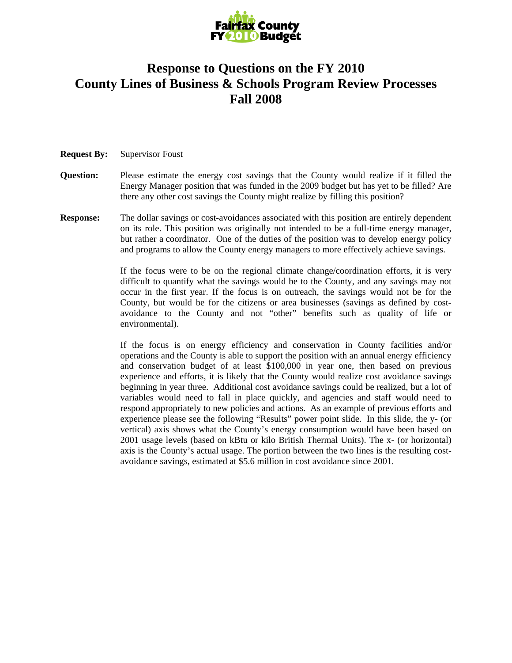

## **Response to Questions on the FY 2010 County Lines of Business & Schools Program Review Processes Fall 2008**

## **Request By:** Supervisor Foust

- **Question:** Please estimate the energy cost savings that the County would realize if it filled the Energy Manager position that was funded in the 2009 budget but has yet to be filled? Are there any other cost savings the County might realize by filling this position?
- **Response:** The dollar savings or cost-avoidances associated with this position are entirely dependent on its role. This position was originally not intended to be a full-time energy manager, but rather a coordinator. One of the duties of the position was to develop energy policy and programs to allow the County energy managers to more effectively achieve savings.

If the focus were to be on the regional climate change/coordination efforts, it is very difficult to quantify what the savings would be to the County, and any savings may not occur in the first year. If the focus is on outreach, the savings would not be for the County, but would be for the citizens or area businesses (savings as defined by costavoidance to the County and not "other" benefits such as quality of life or environmental).

If the focus is on energy efficiency and conservation in County facilities and/or operations and the County is able to support the position with an annual energy efficiency and conservation budget of at least \$100,000 in year one, then based on previous experience and efforts, it is likely that the County would realize cost avoidance savings beginning in year three. Additional cost avoidance savings could be realized, but a lot of variables would need to fall in place quickly, and agencies and staff would need to respond appropriately to new policies and actions. As an example of previous efforts and experience please see the following "Results" power point slide. In this slide, the y- (or vertical) axis shows what the County's energy consumption would have been based on 2001 usage levels (based on kBtu or kilo British Thermal Units). The x- (or horizontal) axis is the County's actual usage. The portion between the two lines is the resulting costavoidance savings, estimated at \$5.6 million in cost avoidance since 2001.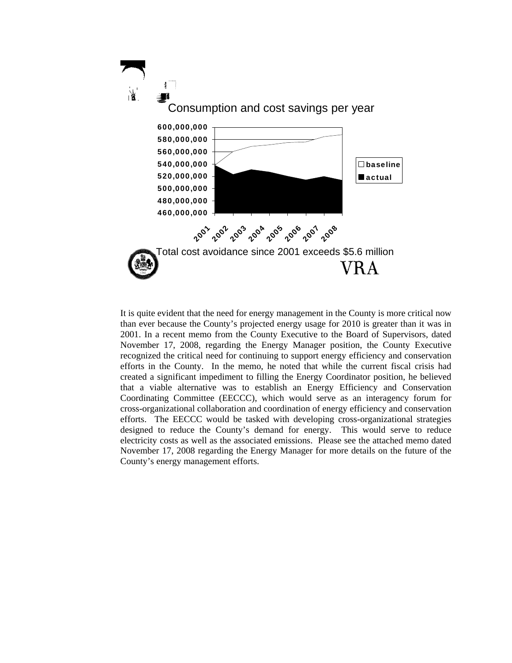

It is quite evident that the need for energy management in the County is more critical now than ever because the County's projected energy usage for 2010 is greater than it was in 2001. In a recent memo from the County Executive to the Board of Supervisors, dated November 17, 2008, regarding the Energy Manager position, the County Executive recognized the critical need for continuing to support energy efficiency and conservation efforts in the County. In the memo, he noted that while the current fiscal crisis had created a significant impediment to filling the Energy Coordinator position, he believed that a viable alternative was to establish an Energy Efficiency and Conservation Coordinating Committee (EECCC), which would serve as an interagency forum for cross-organizational collaboration and coordination of energy efficiency and conservation efforts. The EECCC would be tasked with developing cross-organizational strategies designed to reduce the County's demand for energy. This would serve to reduce electricity costs as well as the associated emissions. Please see the attached memo dated November 17, 2008 regarding the Energy Manager for more details on the future of the County's energy management efforts.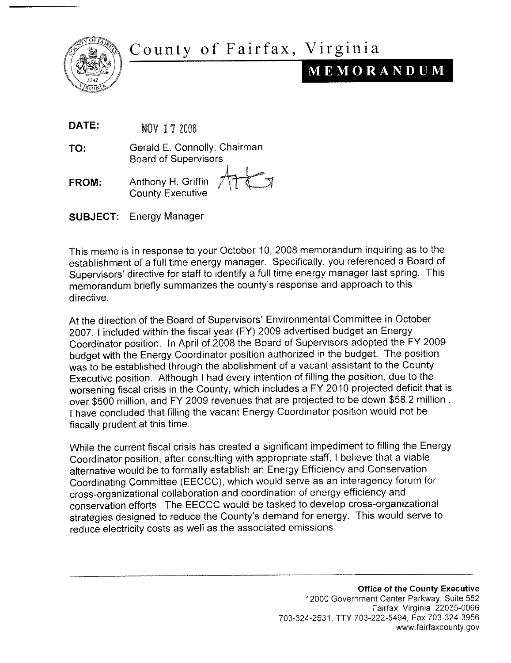



## MEMORANDUM

DATE: NOV 17 2008

Gerald E. Connolly, Chairman TO: **Board of Supervisors** 

- Anthony H. Griffin **FROM:** County Executive
- **Energy Manager SUBJECT:**

This memo is in response to your October 10, 2008 memorandum inquiring as to the establishment of a full time energy manager. Specifically, you referenced a Board of Supervisors' directive for staff to identify a full time energy manager last spring. This memorandum briefly summarizes the county's response and approach to this directive.

At the direction of the Board of Supervisors' Environmental Committee in October 2007. I included within the fiscal year (FY) 2009 advertised budget an Energy Coordinator position. In April of 2008 the Board of Supervisors adopted the FY 2009 budget with the Energy Coordinator position authorized in the budget. The position was to be established through the abolishment of a vacant assistant to the County Executive position. Although I had every intention of filling the position, due to the worsening fiscal crisis in the County, which includes a FY 2010 projected deficit that is over \$500 million, and FY 2009 revenues that are projected to be down \$58.2 million, I have concluded that filling the vacant Energy Coordinator position would not be fiscally prudent at this time.

While the current fiscal crisis has created a significant impediment to filling the Energy Coordinator position, after consulting with appropriate staff, I believe that a viable alternative would be to formally establish an Energy Efficiency and Conservation Coordinating Committee (EECCC), which would serve as an interagency forum for cross-organizational collaboration and coordination of energy efficiency and conservation efforts. The EECCC would be tasked to develop cross-organizational strategies designed to reduce the County's demand for energy. This would serve to reduce electricity costs as well as the associated emissions.